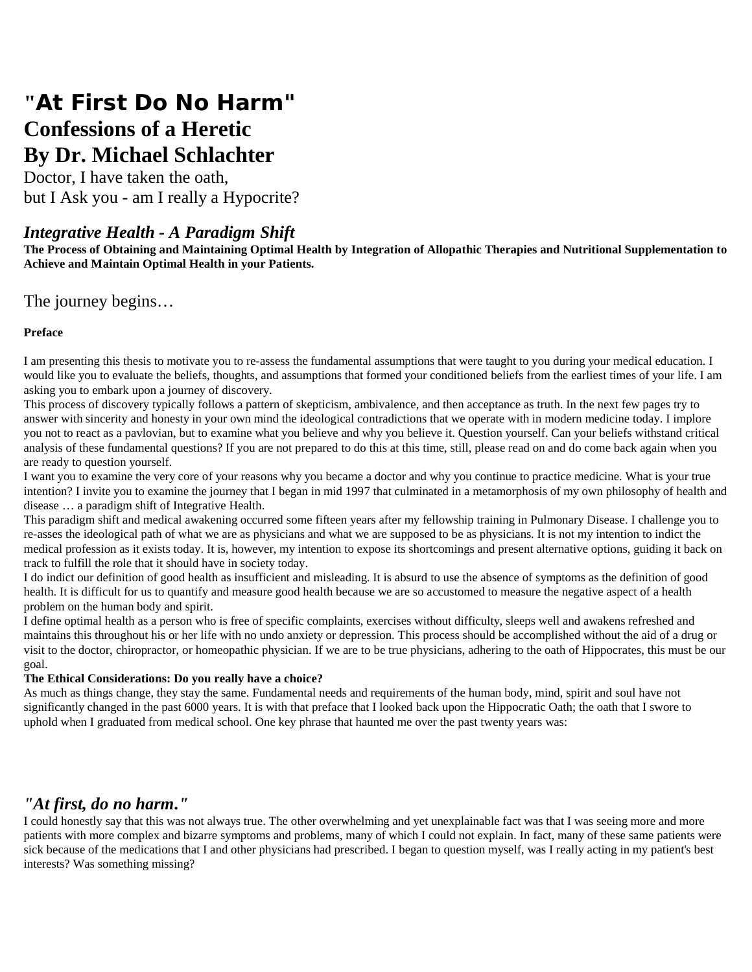# **"At First Do No Harm" Confessions of a Heretic By Dr. Michael Schlachter**

Doctor, I have taken the oath, but I Ask you - am I really a Hypocrite?

### *Integrative Health - A Paradigm Shift*

**The Process of Obtaining and Maintaining Optimal Health by Integration of Allopathic Therapies and Nutritional Supplementation to Achieve and Maintain Optimal Health in your Patients.** 

#### The journey begins…

#### **Preface**

I am presenting this thesis to motivate you to re-assess the fundamental assumptions that were taught to you during your medical education. I would like you to evaluate the beliefs, thoughts, and assumptions that formed your conditioned beliefs from the earliest times of your life. I am asking you to embark upon a journey of discovery.

This process of discovery typically follows a pattern of skepticism, ambivalence, and then acceptance as truth. In the next few pages try to answer with sincerity and honesty in your own mind the ideological contradictions that we operate with in modern medicine today. I implore you not to react as a pavlovian, but to examine what you believe and why you believe it. Question yourself. Can your beliefs withstand critical analysis of these fundamental questions? If you are not prepared to do this at this time, still, please read on and do come back again when you are ready to question yourself.

I want you to examine the very core of your reasons why you became a doctor and why you continue to practice medicine. What is your true intention? I invite you to examine the journey that I began in mid 1997 that culminated in a metamorphosis of my own philosophy of health and disease … a paradigm shift of Integrative Health.

This paradigm shift and medical awakening occurred some fifteen years after my fellowship training in Pulmonary Disease. I challenge you to re-asses the ideological path of what we are as physicians and what we are supposed to be as physicians. It is not my intention to indict the medical profession as it exists today. It is, however, my intention to expose its shortcomings and present alternative options, guiding it back on track to fulfill the role that it should have in society today.

I do indict our definition of good health as insufficient and misleading. It is absurd to use the absence of symptoms as the definition of good health. It is difficult for us to quantify and measure good health because we are so accustomed to measure the negative aspect of a health problem on the human body and spirit.

I define optimal health as a person who is free of specific complaints, exercises without difficulty, sleeps well and awakens refreshed and maintains this throughout his or her life with no undo anxiety or depression. This process should be accomplished without the aid of a drug or visit to the doctor, chiropractor, or homeopathic physician. If we are to be true physicians, adhering to the oath of Hippocrates, this must be our goal.

#### **The Ethical Considerations: Do you really have a choice?**

As much as things change, they stay the same. Fundamental needs and requirements of the human body, mind, spirit and soul have not significantly changed in the past 6000 years. It is with that preface that I looked back upon the Hippocratic Oath; the oath that I swore to uphold when I graduated from medical school. One key phrase that haunted me over the past twenty years was:

# *"At first, do no harm."*

I could honestly say that this was not always true. The other overwhelming and yet unexplainable fact was that I was seeing more and more patients with more complex and bizarre symptoms and problems, many of which I could not explain. In fact, many of these same patients were sick because of the medications that I and other physicians had prescribed. I began to question myself, was I really acting in my patient's best interests? Was something missing?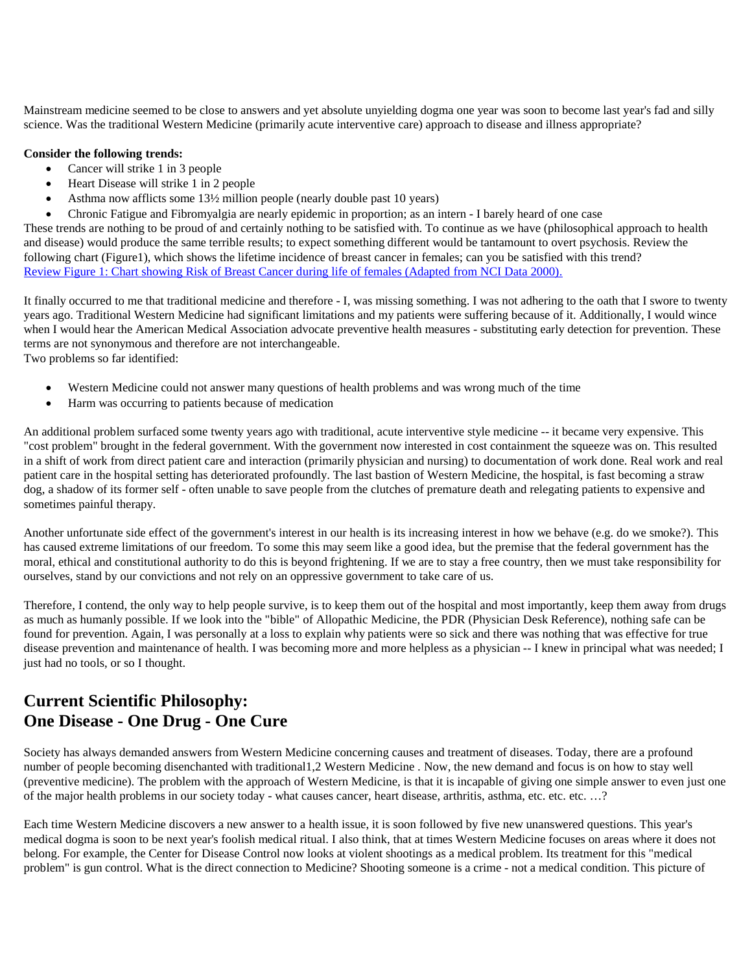Mainstream medicine seemed to be close to answers and yet absolute unyielding dogma one year was soon to become last year's fad and silly science. Was the traditional Western Medicine (primarily acute interventive care) approach to disease and illness appropriate?

#### **Consider the following trends:**

- Cancer will strike 1 in 3 people
- Heart Disease will strike 1 in 2 people
- Asthma now afflicts some  $13\frac{1}{2}$  million people (nearly double past 10 years)
- Chronic Fatigue and Fibromyalgia are nearly epidemic in proportion; as an intern I barely heard of one case

These trends are nothing to be proud of and certainly nothing to be satisfied with. To continue as we have (philosophical approach to health and disease) would produce the same terrible results; to expect something different would be tantamount to overt psychosis. Review the following chart (Figure1), which shows the lifetime incidence of breast cancer in females; can you be satisfied with this trend? Review Figure 1: Chart showing Risk of Breast Cancer during life of females (Adapted from NCI Data 2000).

It finally occurred to me that traditional medicine and therefore - I, was missing something. I was not adhering to the oath that I swore to twenty years ago. Traditional Western Medicine had significant limitations and my patients were suffering because of it. Additionally, I would wince when I would hear the American Medical Association advocate preventive health measures - substituting early detection for prevention. These terms are not synonymous and therefore are not interchangeable.

Two problems so far identified:

- Western Medicine could not answer many questions of health problems and was wrong much of the time
- Harm was occurring to patients because of medication

An additional problem surfaced some twenty years ago with traditional, acute interventive style medicine -- it became very expensive. This "cost problem" brought in the federal government. With the government now interested in cost containment the squeeze was on. This resulted in a shift of work from direct patient care and interaction (primarily physician and nursing) to documentation of work done. Real work and real patient care in the hospital setting has deteriorated profoundly. The last bastion of Western Medicine, the hospital, is fast becoming a straw dog, a shadow of its former self - often unable to save people from the clutches of premature death and relegating patients to expensive and sometimes painful therapy.

Another unfortunate side effect of the government's interest in our health is its increasing interest in how we behave (e.g. do we smoke?). This has caused extreme limitations of our freedom. To some this may seem like a good idea, but the premise that the federal government has the moral, ethical and constitutional authority to do this is beyond frightening. If we are to stay a free country, then we must take responsibility for ourselves, stand by our convictions and not rely on an oppressive government to take care of us.

Therefore, I contend, the only way to help people survive, is to keep them out of the hospital and most importantly, keep them away from drugs as much as humanly possible. If we look into the "bible" of Allopathic Medicine, the PDR (Physician Desk Reference), nothing safe can be found for prevention. Again, I was personally at a loss to explain why patients were so sick and there was nothing that was effective for true disease prevention and maintenance of health. I was becoming more and more helpless as a physician -- I knew in principal what was needed; I just had no tools, or so I thought.

# **Current Scientific Philosophy: One Disease - One Drug - One Cure**

Society has always demanded answers from Western Medicine concerning causes and treatment of diseases. Today, there are a profound number of people becoming disenchanted with traditional1,2 Western Medicine . Now, the new demand and focus is on how to stay well (preventive medicine). The problem with the approach of Western Medicine, is that it is incapable of giving one simple answer to even just one of the major health problems in our society today - what causes cancer, heart disease, arthritis, asthma, etc. etc. etc. …?

Each time Western Medicine discovers a new answer to a health issue, it is soon followed by five new unanswered questions. This year's medical dogma is soon to be next year's foolish medical ritual. I also think, that at times Western Medicine focuses on areas where it does not belong. For example, the Center for Disease Control now looks at violent shootings as a medical problem. Its treatment for this "medical problem" is gun control. What is the direct connection to Medicine? Shooting someone is a crime - not a medical condition. This picture of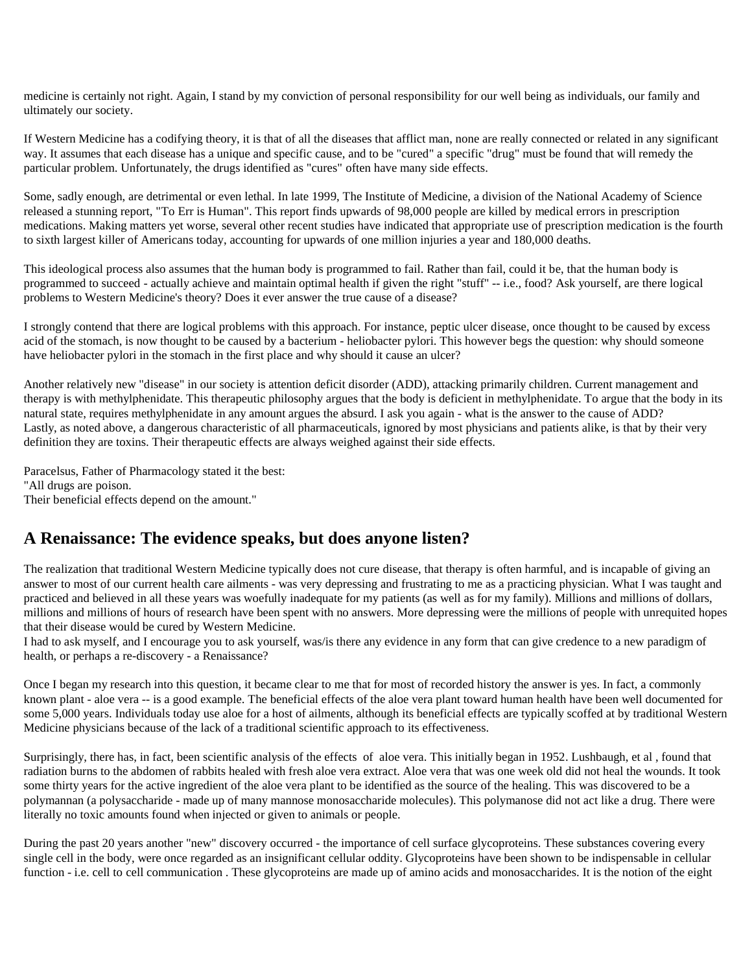medicine is certainly not right. Again, I stand by my conviction of personal responsibility for our well being as individuals, our family and ultimately our society.

If Western Medicine has a codifying theory, it is that of all the diseases that afflict man, none are really connected or related in any significant way. It assumes that each disease has a unique and specific cause, and to be "cured" a specific "drug" must be found that will remedy the particular problem. Unfortunately, the drugs identified as "cures" often have many side effects.

Some, sadly enough, are detrimental or even lethal. In late 1999, The Institute of Medicine, a division of the National Academy of Science released a stunning report, "To Err is Human". This report finds upwards of 98,000 people are killed by medical errors in prescription medications. Making matters yet worse, several other recent studies have indicated that appropriate use of prescription medication is the fourth to sixth largest killer of Americans today, accounting for upwards of one million injuries a year and 180,000 deaths.

This ideological process also assumes that the human body is programmed to fail. Rather than fail, could it be, that the human body is programmed to succeed - actually achieve and maintain optimal health if given the right "stuff" -- i.e., food? Ask yourself, are there logical problems to Western Medicine's theory? Does it ever answer the true cause of a disease?

I strongly contend that there are logical problems with this approach. For instance, peptic ulcer disease, once thought to be caused by excess acid of the stomach, is now thought to be caused by a bacterium - heliobacter pylori. This however begs the question: why should someone have heliobacter pylori in the stomach in the first place and why should it cause an ulcer?

Another relatively new "disease" in our society is attention deficit disorder (ADD), attacking primarily children. Current management and therapy is with methylphenidate. This therapeutic philosophy argues that the body is deficient in methylphenidate. To argue that the body in its natural state, requires methylphenidate in any amount argues the absurd. I ask you again - what is the answer to the cause of ADD? Lastly, as noted above, a dangerous characteristic of all pharmaceuticals, ignored by most physicians and patients alike, is that by their very definition they are toxins. Their therapeutic effects are always weighed against their side effects.

Paracelsus, Father of Pharmacology stated it the best: "All drugs are poison. Their beneficial effects depend on the amount."

### **A Renaissance: The evidence speaks, but does anyone listen?**

The realization that traditional Western Medicine typically does not cure disease, that therapy is often harmful, and is incapable of giving an answer to most of our current health care ailments - was very depressing and frustrating to me as a practicing physician. What I was taught and practiced and believed in all these years was woefully inadequate for my patients (as well as for my family). Millions and millions of dollars, millions and millions of hours of research have been spent with no answers. More depressing were the millions of people with unrequited hopes that their disease would be cured by Western Medicine.

I had to ask myself, and I encourage you to ask yourself, was/is there any evidence in any form that can give credence to a new paradigm of health, or perhaps a re-discovery - a Renaissance?

Once I began my research into this question, it became clear to me that for most of recorded history the answer is yes. In fact, a commonly known plant - aloe vera -- is a good example. The beneficial effects of the aloe vera plant toward human health have been well documented for some 5,000 years. Individuals today use aloe for a host of ailments, although its beneficial effects are typically scoffed at by traditional Western Medicine physicians because of the lack of a traditional scientific approach to its effectiveness.

Surprisingly, there has, in fact, been scientific analysis of the effects of aloe vera. This initially began in 1952. Lushbaugh, et al , found that radiation burns to the abdomen of rabbits healed with fresh aloe vera extract. Aloe vera that was one week old did not heal the wounds. It took some thirty years for the active ingredient of the aloe vera plant to be identified as the source of the healing. This was discovered to be a polymannan (a polysaccharide - made up of many mannose monosaccharide molecules). This polymanose did not act like a drug. There were literally no toxic amounts found when injected or given to animals or people.

During the past 20 years another "new" discovery occurred - the importance of cell surface glycoproteins. These substances covering every single cell in the body, were once regarded as an insignificant cellular oddity. Glycoproteins have been shown to be indispensable in cellular function - i.e. cell to cell communication. These glycoproteins are made up of amino acids and monosaccharides. It is the notion of the eight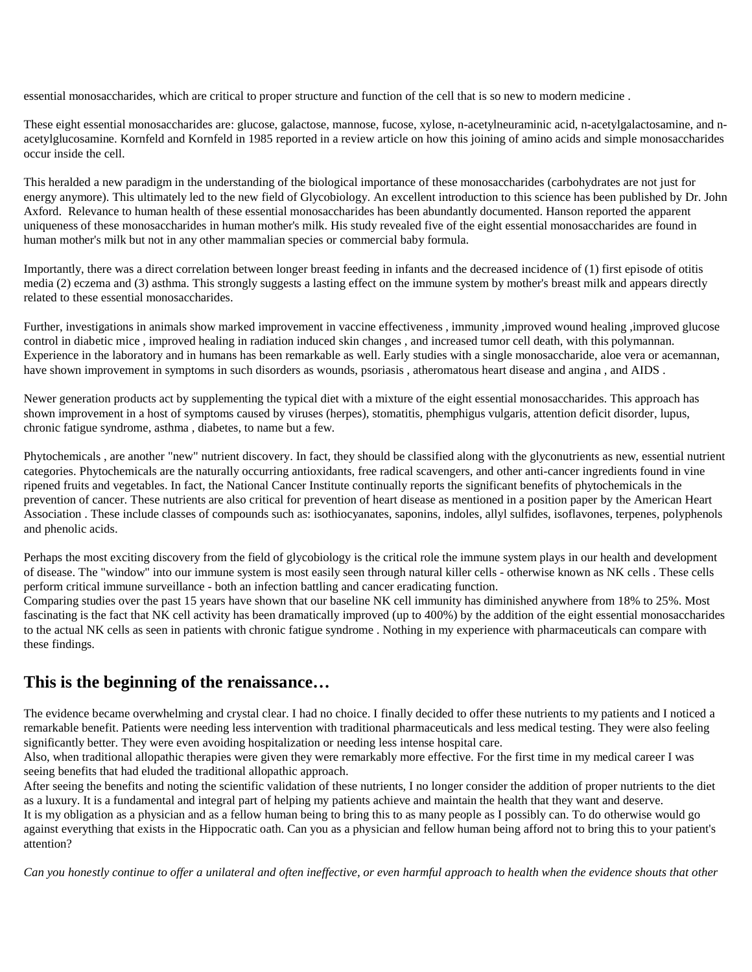essential monosaccharides, which are critical to proper structure and function of the cell that is so new to modern medicine .

These eight essential monosaccharides are: glucose, galactose, mannose, fucose, xylose, n-acetylneuraminic acid, n-acetylgalactosamine, and nacetylglucosamine. Kornfeld and Kornfeld in 1985 reported in a review article on how this joining of amino acids and simple monosaccharides occur inside the cell.

This heralded a new paradigm in the understanding of the biological importance of these monosaccharides (carbohydrates are not just for energy anymore). This ultimately led to the new field of Glycobiology. An excellent introduction to this science has been published by Dr. John Axford. Relevance to human health of these essential monosaccharides has been abundantly documented. Hanson reported the apparent uniqueness of these monosaccharides in human mother's milk. His study revealed five of the eight essential monosaccharides are found in human mother's milk but not in any other mammalian species or commercial baby formula.

Importantly, there was a direct correlation between longer breast feeding in infants and the decreased incidence of (1) first episode of otitis media (2) eczema and (3) asthma. This strongly suggests a lasting effect on the immune system by mother's breast milk and appears directly related to these essential monosaccharides.

Further, investigations in animals show marked improvement in vaccine effectiveness , immunity ,improved wound healing ,improved glucose control in diabetic mice , improved healing in radiation induced skin changes , and increased tumor cell death, with this polymannan. Experience in the laboratory and in humans has been remarkable as well. Early studies with a single monosaccharide, aloe vera or acemannan, have shown improvement in symptoms in such disorders as wounds, psoriasis , atheromatous heart disease and angina , and AIDS .

Newer generation products act by supplementing the typical diet with a mixture of the eight essential monosaccharides. This approach has shown improvement in a host of symptoms caused by viruses (herpes), stomatitis, phemphigus vulgaris, attention deficit disorder, lupus, chronic fatigue syndrome, asthma , diabetes, to name but a few.

Phytochemicals , are another "new" nutrient discovery. In fact, they should be classified along with the glyconutrients as new, essential nutrient categories. Phytochemicals are the naturally occurring antioxidants, free radical scavengers, and other anti-cancer ingredients found in vine ripened fruits and vegetables. In fact, the National Cancer Institute continually reports the significant benefits of phytochemicals in the prevention of cancer. These nutrients are also critical for prevention of heart disease as mentioned in a position paper by the American Heart Association . These include classes of compounds such as: isothiocyanates, saponins, indoles, allyl sulfides, isoflavones, terpenes, polyphenols and phenolic acids.

Perhaps the most exciting discovery from the field of glycobiology is the critical role the immune system plays in our health and development of disease. The "window" into our immune system is most easily seen through natural killer cells - otherwise known as NK cells . These cells perform critical immune surveillance - both an infection battling and cancer eradicating function.

Comparing studies over the past 15 years have shown that our baseline NK cell immunity has diminished anywhere from 18% to 25%. Most fascinating is the fact that NK cell activity has been dramatically improved (up to 400%) by the addition of the eight essential monosaccharides to the actual NK cells as seen in patients with chronic fatigue syndrome . Nothing in my experience with pharmaceuticals can compare with these findings.

### **This is the beginning of the renaissance…**

The evidence became overwhelming and crystal clear. I had no choice. I finally decided to offer these nutrients to my patients and I noticed a remarkable benefit. Patients were needing less intervention with traditional pharmaceuticals and less medical testing. They were also feeling significantly better. They were even avoiding hospitalization or needing less intense hospital care.

Also, when traditional allopathic therapies were given they were remarkably more effective. For the first time in my medical career I was seeing benefits that had eluded the traditional allopathic approach.

After seeing the benefits and noting the scientific validation of these nutrients, I no longer consider the addition of proper nutrients to the diet as a luxury. It is a fundamental and integral part of helping my patients achieve and maintain the health that they want and deserve.

It is my obligation as a physician and as a fellow human being to bring this to as many people as I possibly can. To do otherwise would go against everything that exists in the Hippocratic oath. Can you as a physician and fellow human being afford not to bring this to your patient's attention?

*Can you honestly continue to offer a unilateral and often ineffective, or even harmful approach to health when the evidence shouts that other*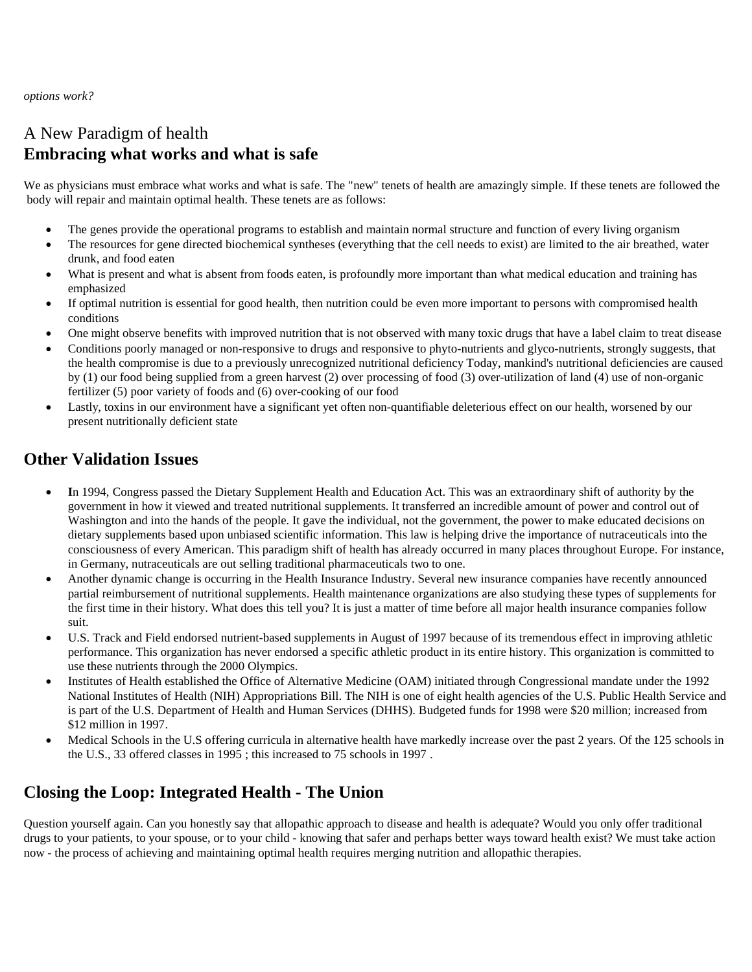*options work?*

# A New Paradigm of health **Embracing what works and what is safe**

We as physicians must embrace what works and what is safe. The "new" tenets of health are amazingly simple. If these tenets are followed the body will repair and maintain optimal health. These tenets are as follows:

- The genes provide the operational programs to establish and maintain normal structure and function of every living organism
- The resources for gene directed biochemical syntheses (everything that the cell needs to exist) are limited to the air breathed, water drunk, and food eaten
- What is present and what is absent from foods eaten, is profoundly more important than what medical education and training has emphasized
- If optimal nutrition is essential for good health, then nutrition could be even more important to persons with compromised health conditions
- One might observe benefits with improved nutrition that is not observed with many toxic drugs that have a label claim to treat disease
- Conditions poorly managed or non-responsive to drugs and responsive to phyto-nutrients and glyco-nutrients, strongly suggests, that the health compromise is due to a previously unrecognized nutritional deficiency Today, mankind's nutritional deficiencies are caused by (1) our food being supplied from a green harvest (2) over processing of food (3) over-utilization of land (4) use of non-organic fertilizer (5) poor variety of foods and (6) over-cooking of our food
- Lastly, toxins in our environment have a significant yet often non-quantifiable deleterious effect on our health, worsened by our present nutritionally deficient state

#### **Other Validation Issues**

- **I**n 1994, Congress passed the Dietary Supplement Health and Education Act. This was an extraordinary shift of authority by the government in how it viewed and treated nutritional supplements. It transferred an incredible amount of power and control out of Washington and into the hands of the people. It gave the individual, not the government, the power to make educated decisions on dietary supplements based upon unbiased scientific information. This law is helping drive the importance of nutraceuticals into the consciousness of every American. This paradigm shift of health has already occurred in many places throughout Europe. For instance, in Germany, nutraceuticals are out selling traditional pharmaceuticals two to one.
- Another dynamic change is occurring in the Health Insurance Industry. Several new insurance companies have recently announced partial reimbursement of nutritional supplements. Health maintenance organizations are also studying these types of supplements for the first time in their history. What does this tell you? It is just a matter of time before all major health insurance companies follow suit.
- U.S. Track and Field endorsed nutrient-based supplements in August of 1997 because of its tremendous effect in improving athletic performance. This organization has never endorsed a specific athletic product in its entire history. This organization is committed to use these nutrients through the 2000 Olympics.
- Institutes of Health established the Office of Alternative Medicine (OAM) initiated through Congressional mandate under the 1992 National Institutes of Health (NIH) Appropriations Bill. The NIH is one of eight health agencies of the U.S. Public Health Service and is part of the U.S. Department of Health and Human Services (DHHS). Budgeted funds for 1998 were \$20 million; increased from \$12 million in 1997.
- Medical Schools in the U.S offering curricula in alternative health have markedly increase over the past 2 years. Of the 125 schools in the U.S., 33 offered classes in 1995 ; this increased to 75 schools in 1997 .

# **Closing the Loop: Integrated Health - The Union**

Question yourself again. Can you honestly say that allopathic approach to disease and health is adequate? Would you only offer traditional drugs to your patients, to your spouse, or to your child - knowing that safer and perhaps better ways toward health exist? We must take action now - the process of achieving and maintaining optimal health requires merging nutrition and allopathic therapies.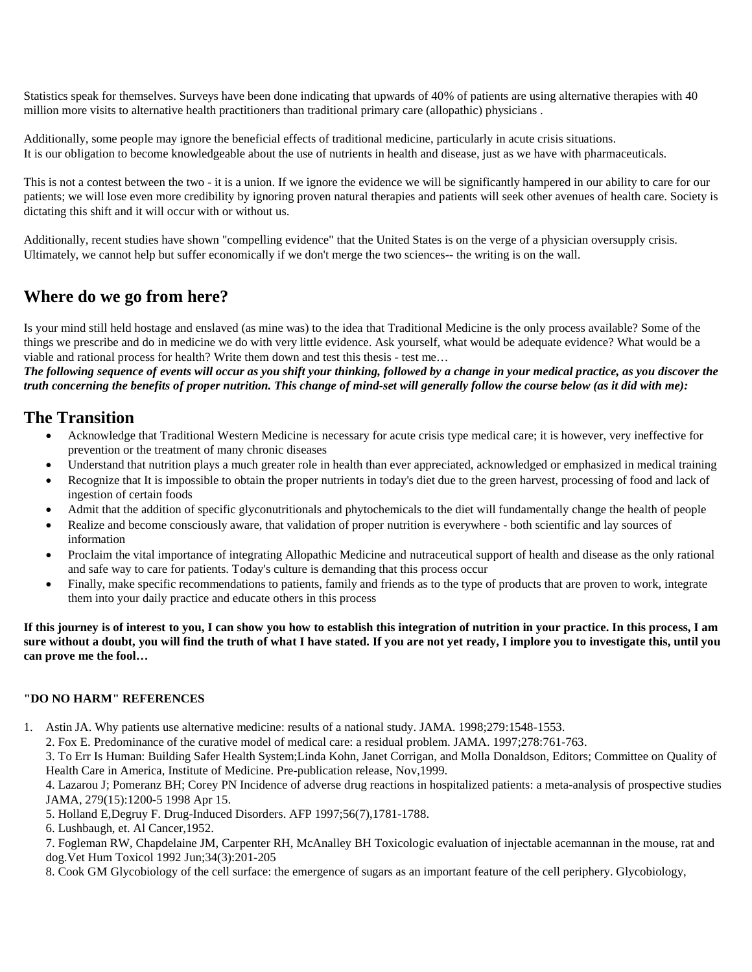Statistics speak for themselves. Surveys have been done indicating that upwards of 40% of patients are using alternative therapies with 40 million more visits to alternative health practitioners than traditional primary care (allopathic) physicians .

Additionally, some people may ignore the beneficial effects of traditional medicine, particularly in acute crisis situations. It is our obligation to become knowledgeable about the use of nutrients in health and disease, just as we have with pharmaceuticals.

This is not a contest between the two - it is a union. If we ignore the evidence we will be significantly hampered in our ability to care for our patients; we will lose even more credibility by ignoring proven natural therapies and patients will seek other avenues of health care. Society is dictating this shift and it will occur with or without us.

Additionally, recent studies have shown "compelling evidence" that the United States is on the verge of a physician oversupply crisis. Ultimately, we cannot help but suffer economically if we don't merge the two sciences-- the writing is on the wall.

### **Where do we go from here?**

Is your mind still held hostage and enslaved (as mine was) to the idea that Traditional Medicine is the only process available? Some of the things we prescribe and do in medicine we do with very little evidence. Ask yourself, what would be adequate evidence? What would be a viable and rational process for health? Write them down and test this thesis - test me…

*The following sequence of events will occur as you shift your thinking, followed by a change in your medical practice, as you discover the truth concerning the benefits of proper nutrition. This change of mind-set will generally follow the course below (as it did with me):* 

#### **The Transition**

- Acknowledge that Traditional Western Medicine is necessary for acute crisis type medical care; it is however, very ineffective for prevention or the treatment of many chronic diseases
- Understand that nutrition plays a much greater role in health than ever appreciated, acknowledged or emphasized in medical training
- Recognize that It is impossible to obtain the proper nutrients in today's diet due to the green harvest, processing of food and lack of ingestion of certain foods
- Admit that the addition of specific glyconutritionals and phytochemicals to the diet will fundamentally change the health of people
- Realize and become consciously aware, that validation of proper nutrition is everywhere both scientific and lay sources of information
- Proclaim the vital importance of integrating Allopathic Medicine and nutraceutical support of health and disease as the only rational and safe way to care for patients. Today's culture is demanding that this process occur
- Finally, make specific recommendations to patients, family and friends as to the type of products that are proven to work, integrate them into your daily practice and educate others in this process

**If this journey is of interest to you, I can show you how to establish this integration of nutrition in your practice. In this process, I am sure without a doubt, you will find the truth of what I have stated. If you are not yet ready, I implore you to investigate this, until you can prove me the fool…** 

#### **"DO NO HARM" REFERENCES**

1. Astin JA. Why patients use alternative medicine: results of a national study. JAMA. 1998;279:1548-1553.

2. Fox E. Predominance of the curative model of medical care: a residual problem. JAMA. 1997;278:761-763.

3. To Err Is Human: Building Safer Health System;Linda Kohn, Janet Corrigan, and Molla Donaldson, Editors; Committee on Quality of Health Care in America, Institute of Medicine. Pre-publication release, Nov,1999.

4. Lazarou J; Pomeranz BH; Corey PN Incidence of adverse drug reactions in hospitalized patients: a meta-analysis of prospective studies JAMA, 279(15):1200-5 1998 Apr 15.

5. Holland E,Degruy F. Drug-Induced Disorders. AFP 1997;56(7),1781-1788.

7. Fogleman RW, Chapdelaine JM, Carpenter RH, McAnalley BH Toxicologic evaluation of injectable acemannan in the mouse, rat and dog.Vet Hum Toxicol 1992 Jun;34(3):201-205

8. Cook GM Glycobiology of the cell surface: the emergence of sugars as an important feature of the cell periphery. Glycobiology,

<sup>6.</sup> Lushbaugh, et. Al Cancer,1952.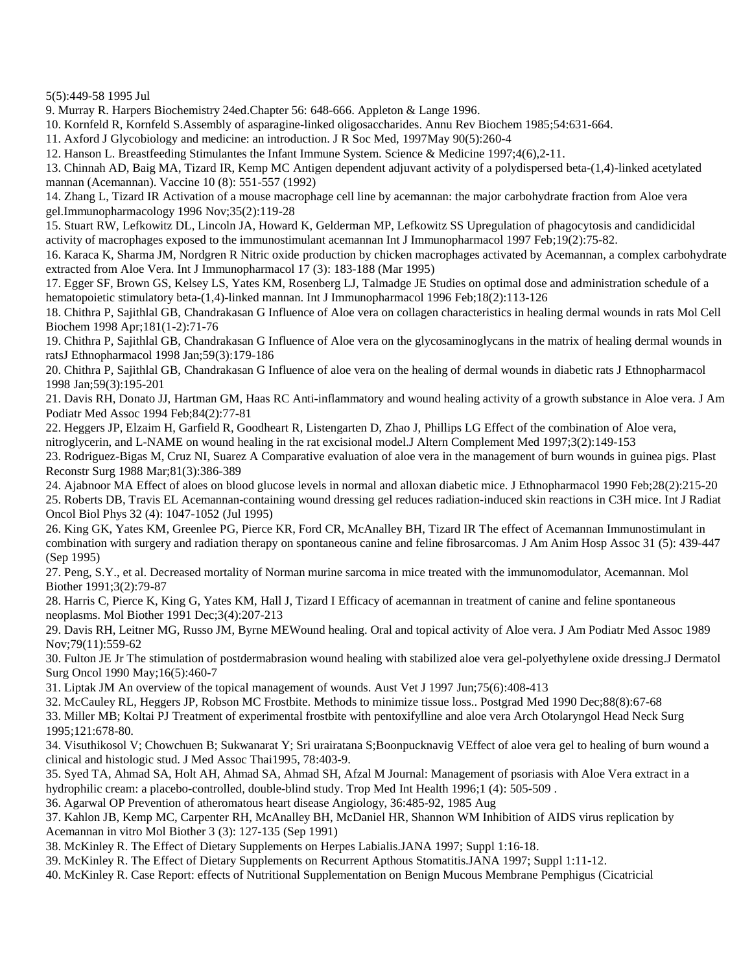5(5):449-58 1995 Jul

9. Murray R. Harpers Biochemistry 24ed.Chapter 56: 648-666. Appleton & Lange 1996.

10. Kornfeld R, Kornfeld S.Assembly of asparagine-linked oligosaccharides. Annu Rev Biochem 1985;54:631-664.

11. Axford J Glycobiology and medicine: an introduction. J R Soc Med, 1997May 90(5):260-4

12. Hanson L. Breastfeeding Stimulantes the Infant Immune System. Science & Medicine 1997;4(6),2-11.

13. Chinnah AD, Baig MA, Tizard IR, Kemp MC Antigen dependent adjuvant activity of a polydispersed beta-(1,4)-linked acetylated mannan (Acemannan). Vaccine 10 (8): 551-557 (1992)

14. Zhang L, Tizard IR Activation of a mouse macrophage cell line by acemannan: the major carbohydrate fraction from Aloe vera gel.Immunopharmacology 1996 Nov;35(2):119-28

15. Stuart RW, Lefkowitz DL, Lincoln JA, Howard K, Gelderman MP, Lefkowitz SS Upregulation of phagocytosis and candidicidal activity of macrophages exposed to the immunostimulant acemannan Int J Immunopharmacol 1997 Feb;19(2):75-82.

16. Karaca K, Sharma JM, Nordgren R Nitric oxide production by chicken macrophages activated by Acemannan, a complex carbohydrate extracted from Aloe Vera. Int J Immunopharmacol 17 (3): 183-188 (Mar 1995)

17. Egger SF, Brown GS, Kelsey LS, Yates KM, Rosenberg LJ, Talmadge JE Studies on optimal dose and administration schedule of a hematopoietic stimulatory beta-(1,4)-linked mannan. Int J Immunopharmacol 1996 Feb;18(2):113-126

18. Chithra P, Sajithlal GB, Chandrakasan G Influence of Aloe vera on collagen characteristics in healing dermal wounds in rats Mol Cell Biochem 1998 Apr;181(1-2):71-76

19. Chithra P, Sajithlal GB, Chandrakasan G Influence of Aloe vera on the glycosaminoglycans in the matrix of healing dermal wounds in ratsJ Ethnopharmacol 1998 Jan;59(3):179-186

20. Chithra P, Sajithlal GB, Chandrakasan G Influence of aloe vera on the healing of dermal wounds in diabetic rats J Ethnopharmacol 1998 Jan;59(3):195-201

21. Davis RH, Donato JJ, Hartman GM, Haas RC Anti-inflammatory and wound healing activity of a growth substance in Aloe vera. J Am Podiatr Med Assoc 1994 Feb;84(2):77-81

22. Heggers JP, Elzaim H, Garfield R, Goodheart R, Listengarten D, Zhao J, Phillips LG Effect of the combination of Aloe vera,

nitroglycerin, and L-NAME on wound healing in the rat excisional model.J Altern Complement Med 1997;3(2):149-153

23. Rodriguez-Bigas M, Cruz NI, Suarez A Comparative evaluation of aloe vera in the management of burn wounds in guinea pigs. Plast Reconstr Surg 1988 Mar;81(3):386-389

24. Ajabnoor MA Effect of aloes on blood glucose levels in normal and alloxan diabetic mice. J Ethnopharmacol 1990 Feb;28(2):215-20 25. Roberts DB, Travis EL Acemannan-containing wound dressing gel reduces radiation-induced skin reactions in C3H mice. Int J Radiat Oncol Biol Phys 32 (4): 1047-1052 (Jul 1995)

26. King GK, Yates KM, Greenlee PG, Pierce KR, Ford CR, McAnalley BH, Tizard IR The effect of Acemannan Immunostimulant in combination with surgery and radiation therapy on spontaneous canine and feline fibrosarcomas. J Am Anim Hosp Assoc 31 (5): 439-447 (Sep 1995)

27. Peng, S.Y., et al. Decreased mortality of Norman murine sarcoma in mice treated with the immunomodulator, Acemannan. Mol Biother 1991;3(2):79-87

28. Harris C, Pierce K, King G, Yates KM, Hall J, Tizard I Efficacy of acemannan in treatment of canine and feline spontaneous neoplasms. Mol Biother 1991 Dec;3(4):207-213

29. Davis RH, Leitner MG, Russo JM, Byrne MEWound healing. Oral and topical activity of Aloe vera. J Am Podiatr Med Assoc 1989 Nov;79(11):559-62

30. Fulton JE Jr The stimulation of postdermabrasion wound healing with stabilized aloe vera gel-polyethylene oxide dressing.J Dermatol Surg Oncol 1990 May;16(5):460-7

31. Liptak JM An overview of the topical management of wounds. Aust Vet J 1997 Jun;75(6):408-413

32. McCauley RL, Heggers JP, Robson MC Frostbite. Methods to minimize tissue loss.. Postgrad Med 1990 Dec;88(8):67-68 33. Miller MB; Koltai PJ Treatment of experimental frostbite with pentoxifylline and aloe vera Arch Otolaryngol Head Neck Surg

1995;121:678-80.

34. Visuthikosol V; Chowchuen B; Sukwanarat Y; Sri urairatana S;Boonpucknavig VEffect of aloe vera gel to healing of burn wound a clinical and histologic stud. J Med Assoc Thai1995, 78:403-9.

35. Syed TA, Ahmad SA, Holt AH, Ahmad SA, Ahmad SH, Afzal M Journal: Management of psoriasis with Aloe Vera extract in a hydrophilic cream: a placebo-controlled, double-blind study. Trop Med Int Health 1996;1 (4): 505-509 .

36. Agarwal OP Prevention of atheromatous heart disease Angiology, 36:485-92, 1985 Aug

37. Kahlon JB, Kemp MC, Carpenter RH, McAnalley BH, McDaniel HR, Shannon WM Inhibition of AIDS virus replication by Acemannan in vitro Mol Biother 3 (3): 127-135 (Sep 1991)

38. McKinley R. The Effect of Dietary Supplements on Herpes Labialis.JANA 1997; Suppl 1:16-18.

39. McKinley R. The Effect of Dietary Supplements on Recurrent Apthous Stomatitis.JANA 1997; Suppl 1:11-12.

40. McKinley R. Case Report: effects of Nutritional Supplementation on Benign Mucous Membrane Pemphigus (Cicatricial